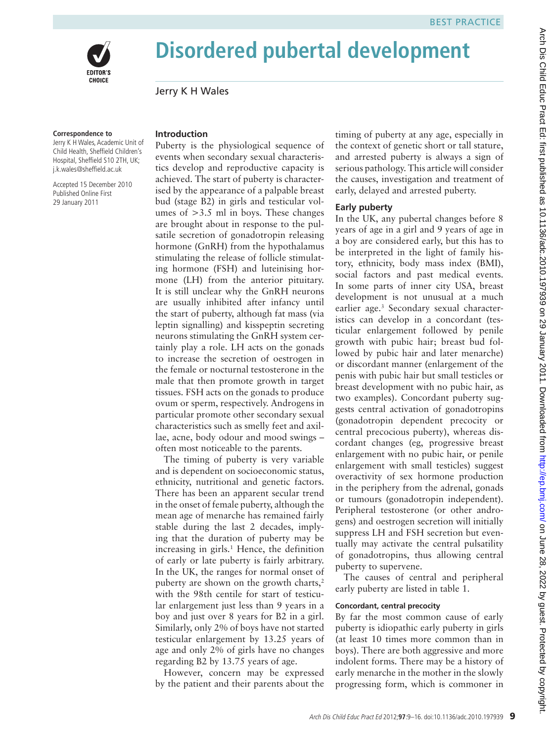



# **Disordered pubertal development**

Jerry K H Wales

#### **Correspondence to**

Jerry K H Wales, Academic Unit of Child Health, Sheffield Children's Hospital, Sheffield S10 2TH, UK: j.k.wales@sheffield.ac.uk

Accepted 15 December 2010 Published Online First 29 January 2011

## **Introduction**

Puberty is the physiological sequence of events when secondary sexual characteristics develop and reproductive capacity is achieved. The start of puberty is characterised by the appearance of a palpable breast bud (stage B2) in girls and testicular volumes of >3.5 ml in boys. These changes are brought about in response to the pulsatile secretion of gonadotropin releasing hormone (GnRH) from the hypothalamus stimulating the release of follicle stimulating hormone (FSH) and luteinising hormone (LH) from the anterior pituitary. It is still unclear why the GnRH neurons are usually inhibited after infancy until the start of puberty, although fat mass (via leptin signalling) and kisspeptin secreting neurons stimulating the GnRH system certainly play a role. LH acts on the gonads to increase the secretion of oestrogen in the female or nocturnal testosterone in the male that then promote growth in target tissues. FSH acts on the gonads to produce ovum or sperm, respectively. Androgens in particular promote other secondary sexual characteristics such as smelly feet and axillae, acne, body odour and mood swings – often most noticeable to the parents.

The timing of puberty is very variable and is dependent on socioeconomic status, ethnicity, nutritional and genetic factors. There has been an apparent secular trend in the onset of female puberty, although the mean age of menarche has remained fairly stable during the last 2 decades, implying that the duration of puberty may be increasing in girls.<sup>1</sup> Hence, the definition of early or late puberty is fairly arbitrary. In the UK, the ranges for normal onset of puberty are shown on the growth charts,<sup>2</sup> with the 98th centile for start of testicular enlargement just less than 9 years in a boy and just over 8 years for B2 in a girl. Similarly, only 2% of boys have not started testicular enlargement by 13.25 years of age and only 2% of girls have no changes regarding B2 by 13.75 years of age.

However, concern may be expressed by the patient and their parents about the timing of puberty at any age, especially in the context of genetic short or tall stature, and arrested puberty is always a sign of serious pathology. This article will consider the causes, investigation and treatment of early, delayed and arrested puberty.

#### **Early puberty**

In the UK, any pubertal changes before 8 years of age in a girl and 9 years of age in a boy are considered early, but this has to be interpreted in the light of family history, ethnicity, body mass index (BMI), social factors and past medical events. In some parts of inner city USA, breast development is not unusual at a much earlier age.3 Secondary sexual characteristics can develop in a concordant (testicular enlargement followed by penile growth with pubic hair; breast bud followed by pubic hair and later menarche) or discordant manner (enlargement of the penis with pubic hair but small testicles or breast development with no pubic hair, as two examples). Concordant puberty suggests central activation of gonadotropins (gonadotropin dependent precocity or central precocious puberty), whereas discordant changes (eg, progressive breast enlargement with no pubic hair, or penile enlargement with small testicles) suggest overactivity of sex hormone production in the periphery from the adrenal, gonads or tumours (gonadotropin independent). Peripheral testosterone (or other androgens) and oestrogen secretion will initially suppress LH and FSH secretion but eventually may activate the central pulsatility of gonadotropins, thus allowing central puberty to supervene. **b)** DISOrriered publiertal development as a set of the set of the set of the set of the set of the set of the set of the set of the set of the set of the set of the set of the set of the set of the set of the set of the

The causes of central and peripheral early puberty are listed in table 1.

#### **Concordant, central precocity**

By far the most common cause of early puberty is idiopathic early puberty in girls (at least 10 times more common than in boys). There are both aggressive and more indolent forms. There may be a history of early menarche in the mother in the slowly progressing form, which is commoner in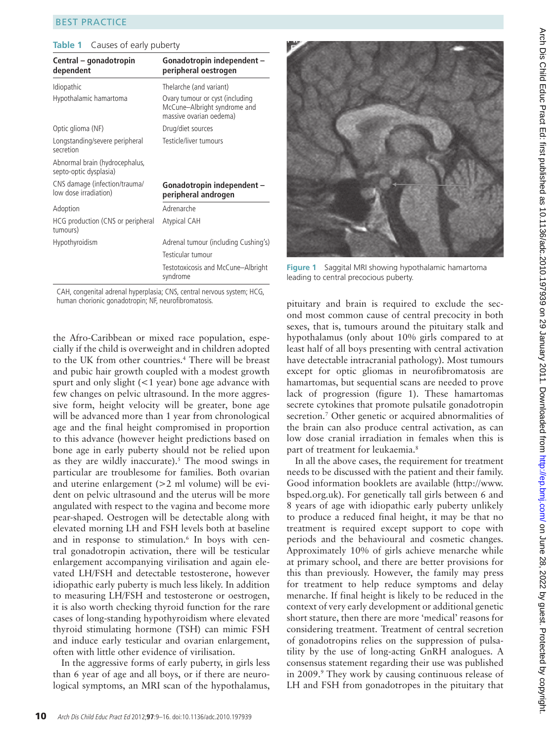## BEST PRACTICE

#### **Table 1** Causes of early puberty

| Gonadotropin independent –<br>peripheral oestrogen                                         |
|--------------------------------------------------------------------------------------------|
| Thelarche (and variant)                                                                    |
| Ovary tumour or cyst (including<br>McCune-Albright syndrome and<br>massive ovarian oedema) |
| Drug/diet sources                                                                          |
| Testicle/liver tumours                                                                     |
|                                                                                            |
| Gonadotropin independent –<br>peripheral androgen                                          |
| Adrenarche                                                                                 |
| <b>Atypical CAH</b>                                                                        |
| Adrenal tumour (including Cushing's)                                                       |
| Testicular tumour                                                                          |
| Testotoxicosis and McCune-Albright<br>syndrome                                             |
|                                                                                            |

CAH, congenital adrenal hyperplasia; CNS, central nervous system; HCG, human chorionic gonadotropin; NF, neurofibromatosis.

the Afro-Caribbean or mixed race population, especially if the child is overweight and in children adopted to the UK from other countries.4 There will be breast and pubic hair growth coupled with a modest growth spurt and only slight (<1 year) bone age advance with few changes on pelvic ultrasound. In the more aggressive form, height velocity will be greater, bone age will be advanced more than 1 year from chronological age and the final height compromised in proportion to this advance (however height predictions based on bone age in early puberty should not be relied upon as they are wildly inaccurate).<sup>5</sup> The mood swings in particular are troublesome for families. Both ovarian and uterine enlargement (>2 ml volume) will be evident on pelvic ultrasound and the uterus will be more angulated with respect to the vagina and become more pear-shaped. Oestrogen will be detectable along with elevated morning LH and FSH levels both at baseline and in response to stimulation.<sup>6</sup> In boys with central gonadotropin activation, there will be testicular enlargement accompanying virilisation and again elevated LH/FSH and detectable testosterone, however idiopathic early puberty is much less likely. In addition to measuring LH/FSH and testosterone or oestrogen, it is also worth checking thyroid function for the rare cases of long-standing hypothyroidism where elevated thyroid stimulating hormone (TSH) can mimic FSH and induce early testicular and ovarian enlargement, often with little other evidence of virilisation. The control of the control of the control of the control of the control of the control of the control of the control of the control of the control of the control of the control of the control of the control of the contro

In the aggressive forms of early puberty, in girls less than 6 year of age and all boys, or if there are neurological symptoms, an MRI scan of the hypothalamus,



**Figure 1** Saggital MRI showing hypothalamic hamartoma leading to central precocious puberty.

pituitary and brain is required to exclude the second most common cause of central precocity in both sexes, that is, tumours around the pituitary stalk and hypothalamus (only about 10% girls compared to at least half of all boys presenting with central activation have detectable intracranial pathology). Most tumours except for optic gliomas in neurofibromatosis are hamartomas, but sequential scans are needed to prove lack of progression (figure 1). These hamartomas secrete cytokines that promote pulsatile gonadotropin secretion.7 Other genetic or acquired abnormalities of the brain can also produce central activation, as can low dose cranial irradiation in females when this is part of treatment for leukaemia.<sup>8</sup>

In all the above cases, the requirement for treatment needs to be discussed with the patient and their family. Good information booklets are available (http://www. bsped.org.uk). For genetically tall girls between 6 and 8 years of age with idiopathic early puberty unlikely to produce a reduced final height, it may be that no treatment is required except support to cope with periods and the behavioural and cosmetic changes. Approximately 10% of girls achieve menarche while at primary school, and there are better provisions for this than previously. However, the family may press for treatment to help reduce symptoms and delay menarche. If final height is likely to be reduced in the context of very early development or additional genetic short stature, then there are more 'medical' reasons for considering treatment. Treatment of central secretion of gonadotropins relies on the suppression of pulsatility by the use of long-acting GnRH analogues. A consensus statement regarding their use was published in 2009.<sup>9</sup> They work by causing continuous release of LH and FSH from gonadotropes in the pituitary that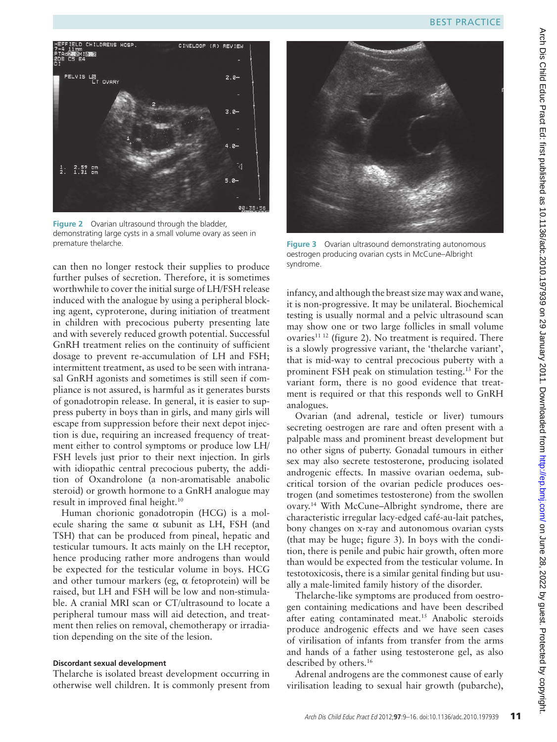# BEST PRACTICE



**Figure 2** Ovarian ultrasound through the bladder, demonstrating large cysts in a small volume ovary as seen in

can then no longer restock their supplies to produce further pulses of secretion. Therefore, it is sometimes worthwhile to cover the initial surge of LH/FSH release induced with the analogue by using a peripheral blocking agent, cyproterone, during initiation of treatment in children with precocious puberty presenting late and with severely reduced growth potential. Successful GnRH treatment relies on the continuity of sufficient dosage to prevent re-accumulation of LH and FSH; intermittent treatment, as used to be seen with intranasal GnRH agonists and sometimes is still seen if compliance is not assured, is harmful as it generates bursts of gonadotropin release. In general, it is easier to suppress puberty in boys than in girls, and many girls will escape from suppression before their next depot injection is due, requiring an increased frequency of treatment either to control symptoms or produce low LH/ FSH levels just prior to their next injection. In girls with idiopathic central precocious puberty, the addition of Oxandrolone (a non-aromatisable anabolic steroid) or growth hormone to a GnRH analogue may result in improved final height.<sup>10</sup> **EXECUTE:**  $\frac{1}{2}$  3:29.<br> **EXECUTE:**  $\frac{1}{2}$  2022 and  $\frac{1}{2}$  2022 and  $\frac{1}{2}$  2022 and  $\frac{1}{2}$  2022 and  $\frac{1}{2}$  2022 and  $\frac{1}{2}$  2022 and  $\frac{1}{2}$  2022 and  $\frac{1}{2}$  2022 and  $\frac{1}{2}$  2022 and  $\frac{1}{2}$ 

Human chorionic gonadotropin (HCG) is a molecule sharing the same  $\alpha$  subunit as LH, FSH (and TSH) that can be produced from pineal, hepatic and testicular tumours. It acts mainly on the LH receptor, hence producing rather more androgens than would be expected for the testicular volume in boys. HCG and other tumour markers (eg,  $\alpha$  fetoprotein) will be raised, but LH and FSH will be low and non-stimulable. A cranial MRI scan or CT/ultrasound to locate a peripheral tumour mass will aid detection, and treatment then relies on removal, chemotherapy or irradiation depending on the site of the lesion.

#### **Discordant sexual development**

Thelarche is isolated breast development occurring in otherwise well children. It is commonly present from



**Figure 3** Ovarian ultrasound demonstrating autonomous oestrogen producing ovarian cysts in McCune–Albright syndrome.

infancy, and although the breast size may wax and wane, it is non-progressive. It may be unilateral. Biochemical testing is usually normal and a pelvic ultrasound scan may show one or two large follicles in small volume ovaries<sup>11 12</sup> (figure 2). No treatment is required. There is a slowly progressive variant, the 'thelarche variant', that is mid-way to central precocious puberty with a prominent FSH peak on stimulation testing.13 For the variant form, there is no good evidence that treatment is required or that this responds well to GnRH analogues.

Ovarian (and adrenal, testicle or liver) tumours secreting oestrogen are rare and often present with a palpable mass and prominent breast development but no other signs of puberty. Gonadal tumours in either sex may also secrete testosterone, producing isolated androgenic effects. In massive ovarian oedema, subcritical torsion of the ovarian pedicle produces oestrogen (and sometimes testosterone) from the swollen ovary.14 With McCune–Albright syndrome, there are characteristic irregular lacy-edged café-au-lait patches, bony changes on x-ray and autonomous ovarian cysts (that may be huge; figure 3). In boys with the condition, there is penile and pubic hair growth, often more than would be expected from the testicular volume. In testotoxicosis, there is a similar genital finding but usually a male-limited family history of the disorder.

Thelarche-like symptoms are produced from oestrogen containing medications and have been described after eating contaminated meat.<sup>15</sup> Anabolic steroids produce androgenic effects and we have seen cases of virilisation of infants from transfer from the arms and hands of a father using testosterone gel, as also described by others.<sup>16</sup>

Adrenal androgens are the commonest cause of early virilisation leading to sexual hair growth (pubarche),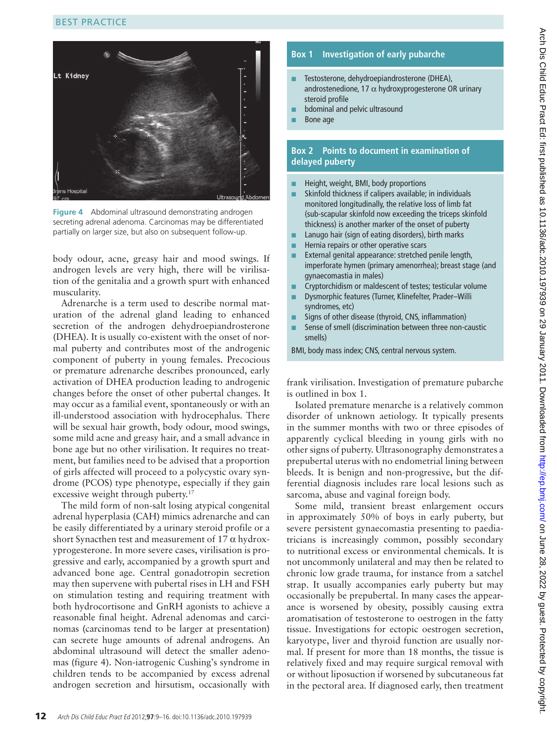

**Figure 4** Abdominal ultrasound demonstrating androgen secreting adrenal adenoma. Carcinomas may be differentiated partially on larger size, but also on subsequent follow-up.

body odour, acne, greasy hair and mood swings. If androgen levels are very high, there will be virilisation of the genitalia and a growth spurt with enhanced muscularity.

Adrenarche is a term used to describe normal maturation of the adrenal gland leading to enhanced secretion of the androgen dehydroepiandrosterone (DHEA). It is usually co-existent with the onset of normal puberty and contributes most of the androgenic component of puberty in young females. Precocious or premature adrenarche describes pronounced, early activation of DHEA production leading to androgenic changes before the onset of other pubertal changes. It may occur as a familial event, spontaneously or with an ill-understood association with hydrocephalus. There will be sexual hair growth, body odour, mood swings, some mild acne and greasy hair, and a small advance in bone age but no other virilisation. It requires no treatment, but families need to be advised that a proportion of girls affected will proceed to a polycystic ovary syndrome (PCOS) type phenotype, especially if they gain excessive weight through puberty.<sup>17</sup> **Example 1979.** In the company of the company of the company of the company of the company of the company of the company of the company of the company of the company of the company of the company of the company of the com

The mild form of non-salt losing atypical congenital adrenal hyperplasia (CAH) mimics adrenarche and can be easily differentiated by a urinary steroid profile or a short Synacthen test and measurement of  $17 \alpha$  hydroxyprogesterone. In more severe cases, virilisation is progressive and early, accompanied by a growth spurt and advanced bone age. Central gonadotropin secretion may then supervene with pubertal rises in LH and FSH on stimulation testing and requiring treatment with both hydrocortisone and GnRH agonists to achieve a reasonable final height. Adrenal adenomas and carcinomas (carcinomas tend to be larger at presentation) can secrete huge amounts of adrenal androgens. An abdominal ultrasound will detect the smaller adenomas (figure 4). Non-iatrogenic Cushing's syndrome in children tends to be accompanied by excess adrenal androgen secretion and hirsutism, occasionally with

# **Box 1 Investigation of early pubarche**

- Testosterone, dehydroepiandrosterone (DHEA), androstenedione, 17  $\alpha$  hydroxyprogesterone OR urinary steroid profile
- bdominal and pelvic ultrasound
- Bone age

## **Box 2 Points to document in examination of delayed puberty**

- Height, weight, BMI, body proportions
- Skinfold thickness if calipers available; in individuals monitored longitudinally, the relative loss of limb fat (sub-scapular skinfold now exceeding the triceps skinfold thickness) is another marker of the onset of puberty
- Lanugo hair (sign of eating disorders), birth marks
- Hernia repairs or other operative scars
- External genital appearance: stretched penile length, imperforate hymen (primary amenorrhea); breast stage (and gynaecomastia in males)
- Cryptorchidism or maldescent of testes; testicular volume
- Dysmorphic features (Turner, Klinefelter, Prader–Willi syndromes, etc)
- Signs of other disease (thyroid, CNS, inflammation)
- Sense of smell (discrimination between three non-caustic smells)

BMI, body mass index; CNS, central nervous system.

frank virilisation. Investigation of premature pubarche is outlined in box 1.

Isolated premature menarche is a relatively common disorder of unknown aetiology. It typically presents in the summer months with two or three episodes of apparently cyclical bleeding in young girls with no other signs of puberty. Ultrasonography demonstrates a prepubertal uterus with no endometrial lining between bleeds. It is benign and non-progressive, but the differential diagnosis includes rare local lesions such as sarcoma, abuse and vaginal foreign body.

Some mild, transient breast enlargement occurs in approximately 50% of boys in early puberty, but severe persistent gynaecomastia presenting to paediatricians is increasingly common, possibly secondary to nutritional excess or environmental chemicals. It is not uncommonly unilateral and may then be related to chronic low grade trauma, for instance from a satchel strap. It usually accompanies early puberty but may occasionally be prepubertal. In many cases the appearance is worsened by obesity, possibly causing extra aromatisation of testosterone to oestrogen in the fatty tissue. Investigations for ectopic oestrogen secretion, karyotype, liver and thyroid function are usually normal. If present for more than 18 months, the tissue is relatively fixed and may require surgical removal with or without liposuction if worsened by subcutaneous fat in the pectoral area. If diagnosed early, then treatment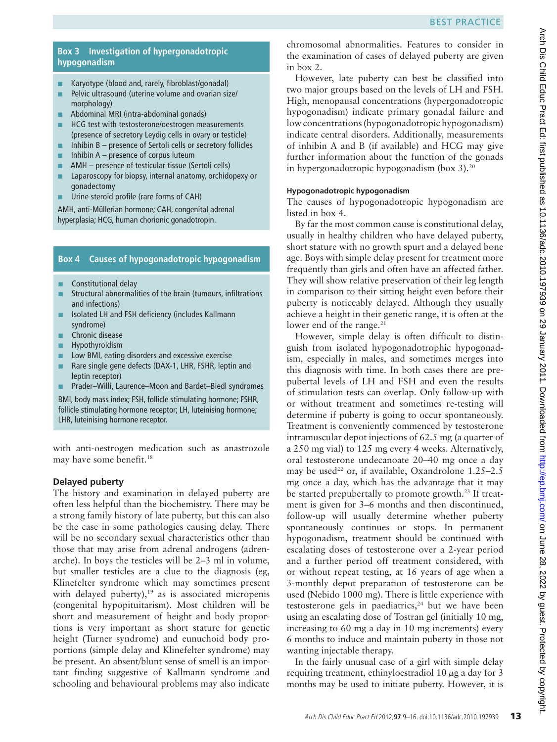## **Box 3 Investigation of hypergonadotropic hypogonadism**

- Karyotype (blood and, rarely, fibroblast/gonadal)
- Pelvic ultrasound (uterine volume and ovarian size/ morphology)
- Abdominal MRI (intra-abdominal gonads)
- HCG test with testosterone/oestrogen measurements (presence of secretory Leydig cells in ovary or testicle)
- $\blacksquare$  Inhibin B presence of Sertoli cells or secretory follicles
- $\blacksquare$  Inhibin A presence of corpus luteum
- AMH presence of testicular tissue (Sertoli cells)
- Laparoscopy for biopsy, internal anatomy, orchidopexy or gonadectomy
- Urine steroid profile (rare forms of CAH)

AMH, anti-Müllerian hormone; CAH, congenital adrenal hyperplasia; HCG, human chorionic gonadotropin.

## **Box 4 Causes of hypogonadotropic hypogonadism**

- Constitutional delay
- Structural abnormalities of the brain (tumours, infiltrations and infections)
- Isolated LH and FSH deficiency (includes Kallmann syndrome)
- Chronic disease
- **Hypothyroidism**
- Low BMI, eating disorders and excessive exercise
- Rare single gene defects (DAX-1, LHR, FSHR, leptin and leptin receptor)
- Prader-Willi, Laurence-Moon and Bardet-Biedl syndromes

BMI, body mass index; FSH, follicle stimulating hormone; FSHR, follicle stimulating hormone receptor; LH, luteinising hormone; LHR, luteinising hormone receptor.

with anti-oestrogen medication such as anastrozole may have some benefit.18

## **Delayed puberty**

The history and examination in delayed puberty are often less helpful than the biochemistry. There may be a strong family history of late puberty, but this can also be the case in some pathologies causing delay. There will be no secondary sexual characteristics other than those that may arise from adrenal androgens (adrenarche). In boys the testicles will be 2–3 ml in volume, but smaller testicles are a clue to the diagnosis (eg, Klinefelter syndrome which may sometimes present with delayed puberty), $19$  as is associated micropenis (congenital hypopituitarism). Most children will be short and measurement of height and body proportions is very important as short stature for genetic height (Turner syndrome) and eunuchoid body proportions (simple delay and Klinefelter syndrome) may be present. An absent/blunt sense of smell is an important finding suggestive of Kallmann syndrome and schooling and behavioural problems may also indicate

chromosomal abnormalities. Features to consider in the examination of cases of delayed puberty are given in box 2.

However, late puberty can best be classified into two major groups based on the levels of LH and FSH. High, menopausal concentrations (hypergonadotropic hypogonadism) indicate primary gonadal failure and low concentrations (hypogonadotropic hypogonadism) indicate central disorders. Additionally, measurements of inhibin A and B (if available) and HCG may give further information about the function of the gonads in hypergonadotropic hypogonadism (box 3).<sup>20</sup>

## **Hypogonadotropic hypogonadism**

The causes of hypogonadotropic hypogonadism are listed in box 4.

By far the most common cause is constitutional delay, usually in healthy children who have delayed puberty, short stature with no growth spurt and a delayed bone age. Boys with simple delay present for treatment more frequently than girls and often have an affected father. They will show relative preservation of their leg length in comparison to their sitting height even before their puberty is noticeably delayed. Although they usually achieve a height in their genetic range, it is often at the lower end of the range.<sup>21</sup>

However, simple delay is often difficult to distinguish from isolated hypogonadotrophic hypogonadism, especially in males, and sometimes merges into this diagnosis with time. In both cases there are prepubertal levels of LH and FSH and even the results of stimulation tests can overlap. Only follow-up with or without treatment and sometimes re-testing will determine if puberty is going to occur spontaneously. Treatment is conveniently commenced by testosterone intramuscular depot injections of 62.5 mg (a quarter of a 250 mg vial) to 125 mg every 4 weeks. Alternatively, oral testosterone undecanoate 20–40 mg once a day may be used<sup>22</sup> or, if available, Oxandrolone  $1.25-2.5$ mg once a day, which has the advantage that it may be started prepubertally to promote growth.<sup>23</sup> If treatment is given for 3–6 months and then discontinued, follow-up will usually determine whether puberty spontaneously continues or stops. In permanent hypogonadism, treatment should be continued with escalating doses of testosterone over a 2-year period and a further period off treatment considered, with or without repeat testing, at 16 years of age when a 3-monthly depot preparation of testosterone can be used (Nebido 1000 mg). There is little experience with testosterone gels in paediatrics, $24$  but we have been using an escalating dose of Tostran gel (initially 10 mg, increasing to 60 mg a day in 10 mg increments) every 6 months to induce and maintain puberty in those not wanting injectable therapy. **David Investigation of home consistents** in the consistent of the particular consistent in the state of consistent in the state of consistent in the state of consistent by guest. The consistent by guest consistent by eac

In the fairly unusual case of a girl with simple delay requiring treatment, ethinyloestradiol 10  $\mu$ g a day for 3 months may be used to initiate puberty. However, it is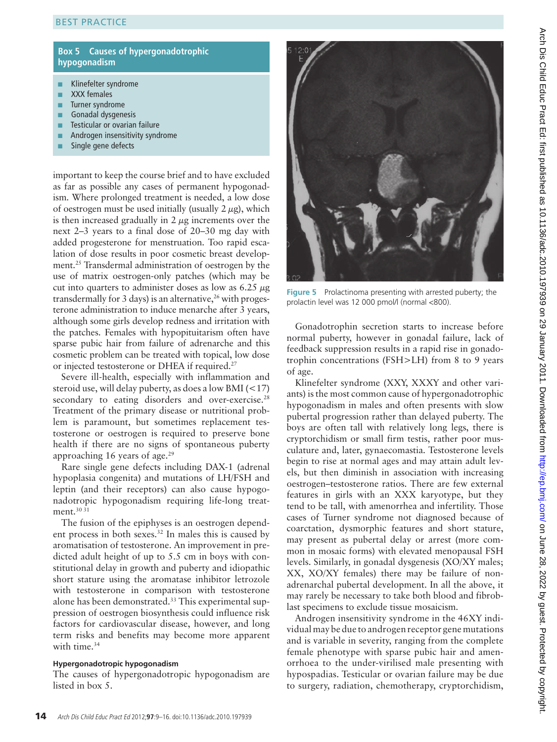# **Box 5 Causes of hypergonadotrophic hypogonadism**

- Klinefelter syndrome
- XXX females
- Turner syndrome
- Gonadal dysgenesis
- Testicular or ovarian failure
- Androgen insensitivity syndrome
- Single gene defects

important to keep the course brief and to have excluded as far as possible any cases of permanent hypogonadism. Where prolonged treatment is needed, a low dose of oestrogen must be used initially (usually  $2 \mu$ g), which is then increased gradually in  $2 \mu$ g increments over the next 2–3 years to a final dose of 20–30 mg day with added progesterone for menstruation. Too rapid escalation of dose results in poor cosmetic breast development.25 Transdermal administration of oestrogen by the use of matrix oestrogen-only patches (which may be cut into quarters to administer doses as low as  $6.25 \mu$ g transdermally for 3 days) is an alternative,<sup>26</sup> with progesterone administration to induce menarche after 3 years, although some girls develop redness and irritation with the patches. Females with hypopituitarism often have sparse pubic hair from failure of adrenarche and this cosmetic problem can be treated with topical, low dose or injected testosterone or DHEA if required.27

Severe ill-health, especially with inflammation and steroid use, will delay puberty, as does a low BMI (<17) secondary to eating disorders and over-exercise.<sup>28</sup> Treatment of the primary disease or nutritional problem is paramount, but sometimes replacement testosterone or oestrogen is required to preserve bone health if there are no signs of spontaneous puberty approaching 16 years of age.29

Rare single gene defects including DAX-1 ( adrenal hypoplasia congenita) and mutations of LH/FSH and leptin (and their receptors) can also cause hypogonadotropic hypogonadism requiring life-long treatment.<sup>30</sup> 31

The fusion of the epiphyses is an oestrogen dependent process in both sexes.32 In males this is caused by aromatisation of testosterone. An improvement in predicted adult height of up to 5.5 cm in boys with constitutional delay in growth and puberty and idiopathic short stature using the aromatase inhibitor letrozole with testosterone in comparison with testosterone alone has been demonstrated.33 This experimental suppression of oestrogen biosynthesis could influence risk factors for cardiovascular disease, however, and long term risks and benefits may become more apparent with time.<sup>34</sup>

## **Hypergonadotropic hypogonadism**

The causes of hypergonadotropic hypogonadism are listed in box 5.



**Figure 5** Prolactinoma presenting with arrested puberty; the prolactin level was 12 000 pmol/l (normal <800).

Gonadotrophin secretion starts to increase before normal puberty, however in gonadal failure, lack of feedback suppression results in a rapid rise in gonadotrophin concentrations (FSH>LH) from 8 to 9 years of age.

Klinefelter syndrome (XXY, XXXY and other variants) is the most common cause of hypergonadotrophic hypogonadism in males and often presents with slow pubertal progression rather than delayed puberty. The boys are often tall with relatively long legs, there is cryptorchidism or small firm testis, rather poor musculature and, later, gynaecomastia. Testosterone levels begin to rise at normal ages and may attain adult levels, but then diminish in association with increasing oestrogen–testosterone ratios. There are few external features in girls with an XXX karyotype, but they tend to be tall, with amenorrhea and infertility. Those cases of Turner syndrome not diagnosed because of coarctation, dysmorphic features and short stature, may present as pubertal delay or arrest (more common in mosaic forms) with elevated menopausal FSH levels. Similarly, in gonadal dysgenesis (XO/XY males; XX, XO/XY females) there may be failure of nonadrenarchal pubertal development. In all the above, it may rarely be necessary to take both blood and fibroblast specimens to exclude tissue mosaicism.

Androgen insensitivity syndrome in the 46XY individual may be due to androgen receptor gene mutations and is variable in severity, ranging from the complete female phenotype with sparse pubic hair and amenorrhoea to the under-virilised male presenting with hypospadias. Testicular or ovarian failure may be due to surgery, radiation, chemotherapy, cryptorchidism,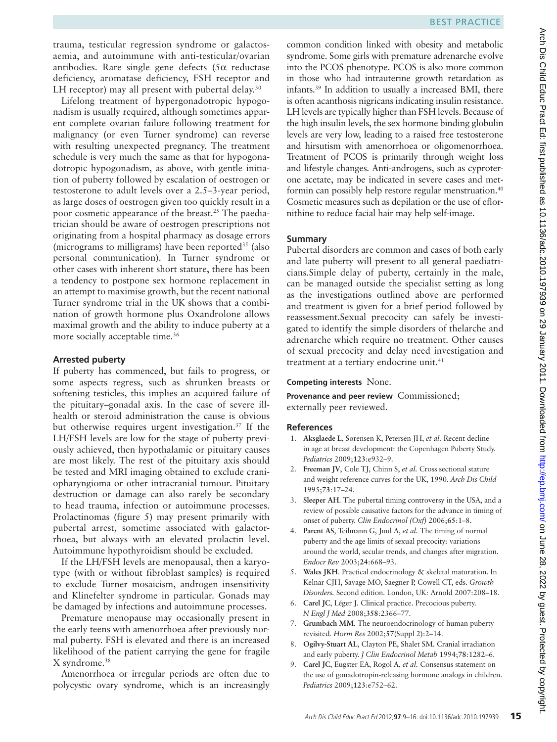trauma, testicular regression syndrome or galactosaemia, and autoimmune with anti-testicular/ovarian antibodies. Rare single gene defects  $(5\alpha \text{ reductase})$ deficiency, aromatase deficiency, FSH receptor and LH receptor) may all present with pubertal delay.<sup>30</sup>

Lifelong treatment of hypergonadotropic hypogonadism is usually required, although sometimes apparent complete ovarian failure following treatment for malignancy (or even Turner syndrome) can reverse with resulting unexpected pregnancy. The treatment schedule is very much the same as that for hypogonadotropic hypogonadism, as above, with gentle initiation of puberty followed by escalation of oestrogen or testosterone to adult levels over a 2.5–3-year period, as large doses of oestrogen given too quickly result in a poor cosmetic appearance of the breast.25 The paediatrician should be aware of oestrogen prescriptions not originating from a hospital pharmacy as dosage errors (micrograms to milligrams) have been reported $35$  (also personal communication). In Turner syndrome or other cases with inherent short stature, there has been a tendency to postpone sex hormone replacement in an attempt to maximise growth, but the recent national Turner syndrome trial in the UK shows that a combination of growth hormone plus Oxandrolone allows maximal growth and the ability to induce puberty at a more socially acceptable time.<sup>36</sup> 03.02. In the control of the control of the control of the control of the control of the control of the control of the control of the control of the control of the control of the control of the control of the control of t

## **Arrested puberty**

If puberty has commenced, but fails to progress, or some aspects regress, such as shrunken breasts or softening testicles, this implies an acquired failure of the pituitary–gonadal axis. In the case of severe illhealth or steroid administration the cause is obvious but otherwise requires urgent investigation.37 If the LH/FSH levels are low for the stage of puberty previously achieved, then hypothalamic or pituitary causes are most likely. The rest of the pituitary axis should be tested and MRI imaging obtained to exclude craniopharyngioma or other intracranial tumour. Pituitary destruction or damage can also rarely be secondary to head trauma, infection or autoimmune processes. Prolactinomas (figure 5) may present primarily with pubertal arrest, sometime associated with galactorrhoea, but always with an elevated prolactin level. Autoimmune hypothyroidism should be excluded.

If the LH/FSH levels are menopausal, then a karyotype (with or without fibroblast samples) is required to exclude Turner mosaicism, androgen insensitivity and Klinefelter syndrome in particular. Gonads may be damaged by infections and autoimmune processes.

Premature menopause may occasionally present in the early teens with amenorrhoea after previously normal puberty. FSH is elevated and there is an increased likelihood of the patient carrying the gene for fragile X syndrome.<sup>38</sup>

Amenorrhoea or irregular periods are often due to polycystic ovary syndrome, which is an increasingly

common condition linked with obesity and metabolic syndrome. Some girls with premature adrenarche evolve into the PCOS phenotype. PCOS is also more common in those who had intrauterine growth retardation as infants.39 In addition to usually a increased BMI, there is often acanthosis nigricans indicating insulin resistance. LH levels are typically higher than FSH levels. Because of the high insulin levels, the sex hormone binding globulin levels are very low, leading to a raised free testosterone and hirsutism with amenorrhoea or oligomenorrhoea. Treatment of PCOS is primarily through weight loss and lifestyle changes. Anti-androgens, such as cyproterone acetate, may be indicated in severe cases and metformin can possibly help restore regular menstruation.<sup>40</sup> Cosmetic measures such as depilation or the use of eflornithine to reduce facial hair may help self-image.

## **Summary**

Pubertal disorders are common and cases of both early and late puberty will present to all general paediatricians.Simple delay of puberty, certainly in the male, can be managed outside the specialist setting as long as the investigations outlined above are performed and treatment is given for a brief period followed by reassessment.Sexual precocity can safely be investigated to identify the simple disorders of thelarche and adrenarche which require no treatment. Other causes of sexual precocity and delay need investigation and treatment at a tertiary endocrine unit.<sup>41</sup>

## **Competing interests** None.

**Provenance and peer review** Commissioned; externally peer reviewed.

## **References**

- 1. **Aksglaede L**, Sørensen K, Petersen JH, *et al.* Recent decline in age at breast development: the Copenhagen Puberty Study. *Pediatrics* 2009;**123**:e932–9.
- 2. **Freeman JV**, Cole TJ, Chinn S, *et al.* Cross sectional stature and weight reference curves for the UK, 1990. *Arch Dis Child* 1995;**73**:17–24.
- 3. **Sleeper AH**. The pubertal timing controversy in the USA, and a review of possible causative factors for the advance in timing of onset of puberty. *Clin Endocrinol (Oxf)* 2006;**65**:1–8.
- 4. **Parent AS**, Teilmann G, Juul A, *et al.* The timing of normal puberty and the age limits of sexual precocity: variations around the world, secular trends, and changes after migration. *Endocr Rev* 2003;**24**:668–93.
- 5. **Wales JKH**. Practical endocrinology & skeletal maturation. In Kelnar CJH, Savage MO, Saegner P, Cowell CT, eds. *Growth Disorders.* Second edition. London, UK: Arnold 2007:208–18.
- 6. **Carel JC**, Léger J. Clinical practice. Precocious puberty. *N Engl J Med* 2008;**358**:2366–77.
- 7. **Grumbach MM**. The neuroendocrinology of human puberty revisited. *Horm Res* 2002;**57**(Suppl 2):2–14.
- 8. **Ogilvy-Stuart AL**, Clayton PE, Shalet SM. Cranial irradiation and early puberty. *J Clin Endocrinol Metab* 1994;**78**:1282–6.
- 9. **Carel JC**, Eugster EA, Rogol A, *et al.* Consensus statement on the use of gonadotropin-releasing hormone analogs in children. *Pediatrics* 2009;**123**:e752–62.